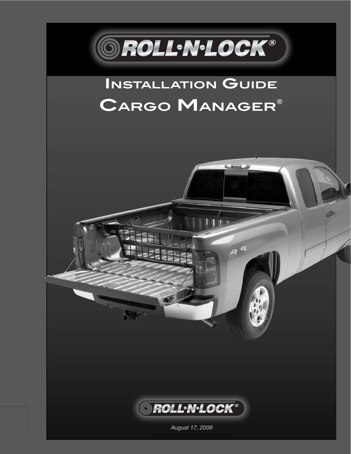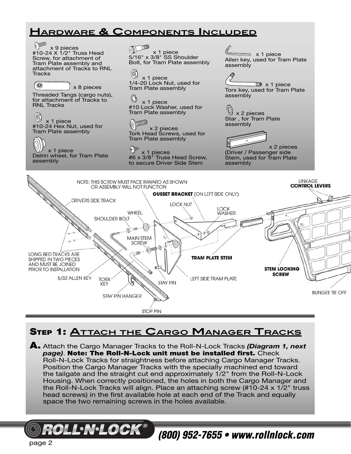### **HARDWARE & COMPONENTS INCLUDED**



### **STEP 1: ATTACH THE CARGO MANAGER TRACKS**

**A.** Attach the Cargo Manager Tracks to the Roll-N-Lock Tracks *(Diagram 1, next*  **page). Note: The Roll-N-Lock unit must be installed first.** Check Roll-N-Lock Tracks for straightness before attaching Cargo Manager Tracks. Position the Cargo Manager Tracks with the specially machined end toward the tailgate and the straight cut end approximately 1/2" from the Roll-N-Lock Housing. When correctly positioned, the holes in both the Cargo Manager and the Roll-N-Lock Tracks will align. Place an attaching screw (#10-24 x 1/2" truss head screws) in the first available hole at each end of the Track and equally space the two remaining screws in the holes available.

page 2

LINILOCK

*(800) 952-7655 • www.rollnlock.com*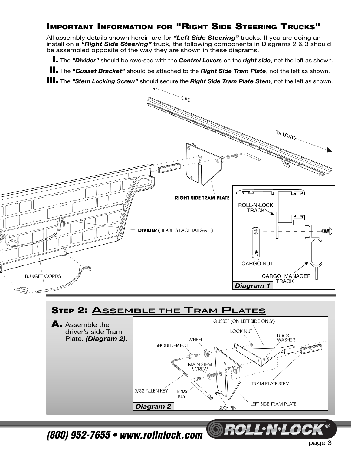#### **IMPORTANT INFORMATION FOR "RIGHT SIDE STEERING TRUCKS"**

All assembly details shown herein are for *"Left Side Steering"* trucks. If you are doing an install on a *"Right Side Steering"* truck, the following components in Diagrams 2 & 3 should be assembled opposite of the way they are shown in these diagrams.

 **I.** The *"Divider"* should be reversed with the *Control Levers* on the *right side*, not the left as shown.

 **II.** The *"Gusset Bracket"* should be attached to the *Right Side Tram Plate*, not the left as shown.

**III.** The *"Stem Locking Screw"* should secure the *Right Side Tram Plate Stem*, not the left as shown.





*(800) 952-7655 • www.rollnlock.com*